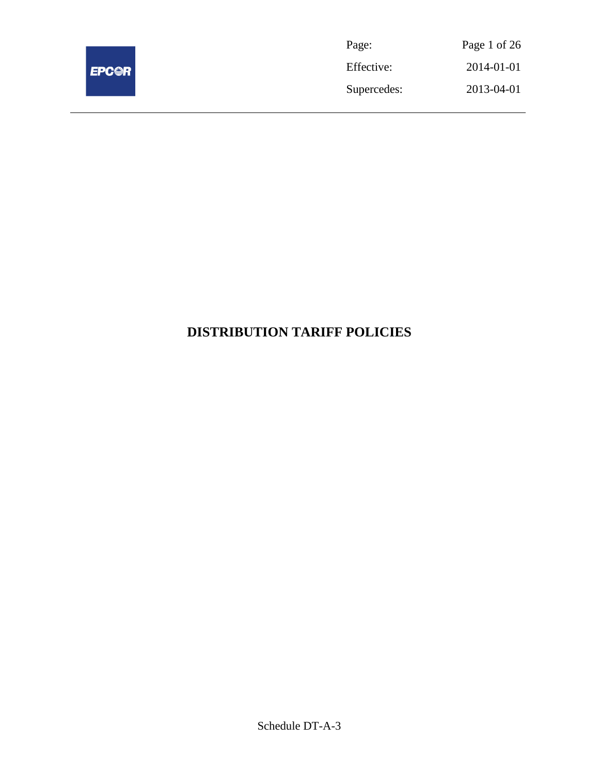

| Page:       | Page 1 of 26 |
|-------------|--------------|
| Effective:  | 2014-01-01   |
| Supercedes: | 2013-04-01   |

# **DISTRIBUTION TARIFF POLICIES**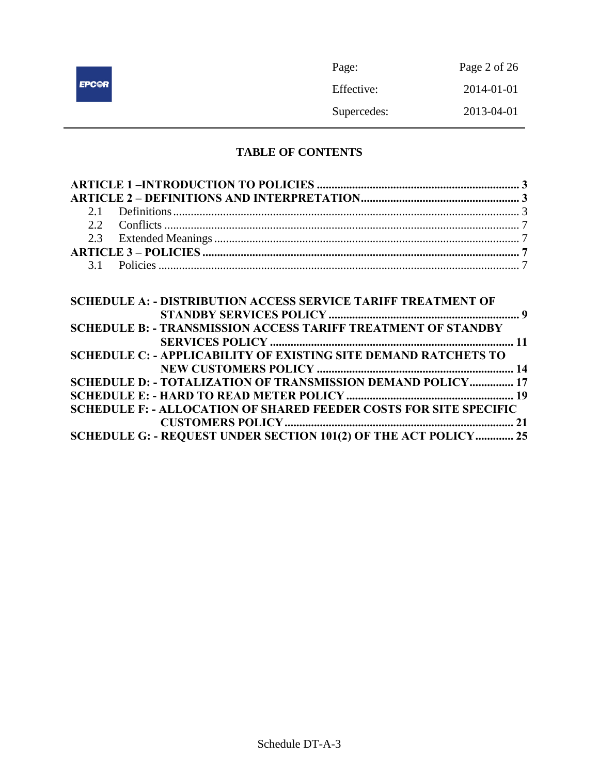|              | Page:       | Page 2 of 26 |
|--------------|-------------|--------------|
| <b>EPC@R</b> | Effective:  | 2014-01-01   |
|              | Supercedes: | 2013-04-01   |

# **TABLE OF CONTENTS**

| <b>SCHEDULE A: - DISTRIBUTION ACCESS SERVICE TARIFF TREATMENT OF</b>     |  |
|--------------------------------------------------------------------------|--|
|                                                                          |  |
| <b>SCHEDULE B: - TRANSMISSION ACCESS TARIFF TREATMENT OF STANDBY</b>     |  |
|                                                                          |  |
| <b>SCHEDULE C: - APPLICABILITY OF EXISTING SITE DEMAND RATCHETS TO</b>   |  |
|                                                                          |  |
| SCHEDULE D: - TOTALIZATION OF TRANSMISSION DEMAND POLICY 17              |  |
|                                                                          |  |
| <b>SCHEDULE F: - ALLOCATION OF SHARED FEEDER COSTS FOR SITE SPECIFIC</b> |  |
|                                                                          |  |
| SCHEDULE G: - REQUEST UNDER SECTION 101(2) OF THE ACT POLICY 25          |  |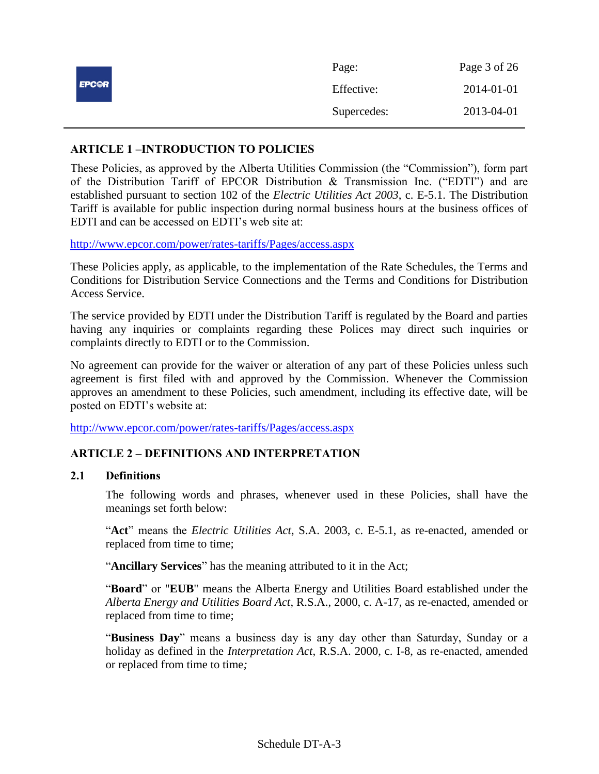|              | Page:       | Page 3 of 26 |
|--------------|-------------|--------------|
| <b>EPC@R</b> | Effective:  | 2014-01-01   |
|              | Supercedes: | 2013-04-01   |

# <span id="page-2-0"></span>**ARTICLE 1 –INTRODUCTION TO POLICIES**

These Policies, as approved by the Alberta Utilities Commission (the "Commission"), form part of the Distribution Tariff of EPCOR Distribution & Transmission Inc. ("EDTI") and are established pursuant to section 102 of the *Electric Utilities Act 2003*, c. E-5.1. The Distribution Tariff is available for public inspection during normal business hours at the business offices of EDTI and can be accessed on EDTI's web site at:

<http://www.epcor.com/power/rates-tariffs/Pages/access.aspx>

These Policies apply, as applicable, to the implementation of the Rate Schedules, the Terms and Conditions for Distribution Service Connections and the Terms and Conditions for Distribution Access Service.

The service provided by EDTI under the Distribution Tariff is regulated by the Board and parties having any inquiries or complaints regarding these Polices may direct such inquiries or complaints directly to EDTI or to the Commission.

No agreement can provide for the waiver or alteration of any part of these Policies unless such agreement is first filed with and approved by the Commission. Whenever the Commission approves an amendment to these Policies, such amendment, including its effective date, will be posted on EDTI's website at:

<http://www.epcor.com/power/rates-tariffs/Pages/access.aspx>

# <span id="page-2-1"></span>**ARTICLE 2 – DEFINITIONS AND INTERPRETATION**

### <span id="page-2-2"></span>**2.1 Definitions**

The following words and phrases, whenever used in these Policies, shall have the meanings set forth below:

"**Act**" means the *Electric Utilities Act*, S.A. 2003, c. E-5.1, as re-enacted, amended or replaced from time to time;

"**Ancillary Services**" has the meaning attributed to it in the Act;

"**Board**" or "**EUB**" means the Alberta Energy and Utilities Board established under the *Alberta Energy and Utilities Board Act*, R.S.A., 2000, c. A-17, as re-enacted, amended or replaced from time to time;

"**Business Day**" means a business day is any day other than Saturday, Sunday or a holiday as defined in the *Interpretation Act*, R.S.A. 2000, c. I-8, as re-enacted, amended or replaced from time to time*;*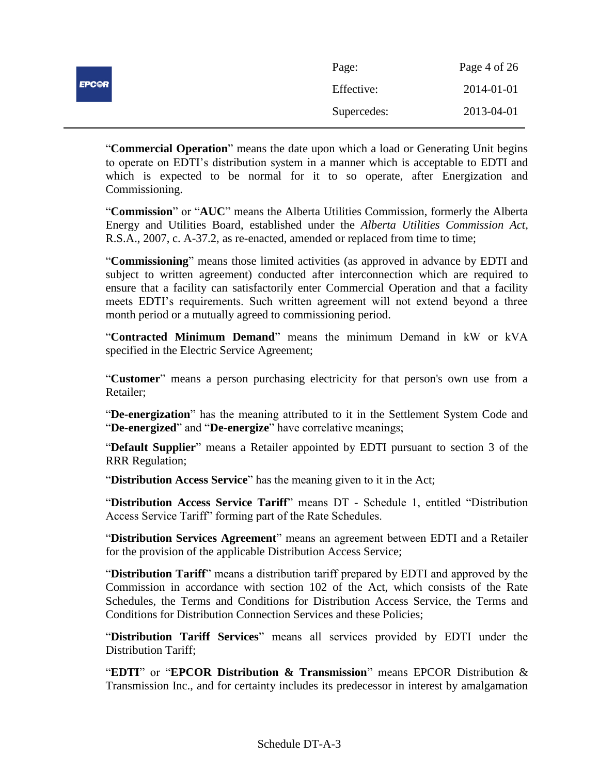|              | Page:       | Page 4 of 26 |
|--------------|-------------|--------------|
| <b>EPC@R</b> | Effective:  | 2014-01-01   |
|              | Supercedes: | 2013-04-01   |

"**Commercial Operation**" means the date upon which a load or Generating Unit begins to operate on EDTI's distribution system in a manner which is acceptable to EDTI and which is expected to be normal for it to so operate, after Energization and Commissioning.

"**Commission**" or "**AUC**" means the Alberta Utilities Commission, formerly the Alberta Energy and Utilities Board, established under the *Alberta Utilities Commission Act*, R.S.A., 2007, c. A-37.2, as re-enacted, amended or replaced from time to time;

"**Commissioning**" means those limited activities (as approved in advance by EDTI and subject to written agreement) conducted after interconnection which are required to ensure that a facility can satisfactorily enter Commercial Operation and that a facility meets EDTI's requirements. Such written agreement will not extend beyond a three month period or a mutually agreed to commissioning period.

"**Contracted Minimum Demand**" means the minimum Demand in kW or kVA specified in the Electric Service Agreement;

"**Customer**" means a person purchasing electricity for that person's own use from a Retailer;

"**De-energization**" has the meaning attributed to it in the Settlement System Code and "**De-energized**" and "**De-energize**" have correlative meanings;

"**Default Supplier**" means a Retailer appointed by EDTI pursuant to section 3 of the RRR Regulation;

"**Distribution Access Service**" has the meaning given to it in the Act;

"**Distribution Access Service Tariff**" means DT - Schedule 1, entitled "Distribution Access Service Tariff" forming part of the Rate Schedules.

"**Distribution Services Agreement**" means an agreement between EDTI and a Retailer for the provision of the applicable Distribution Access Service;

"**Distribution Tariff**" means a distribution tariff prepared by EDTI and approved by the Commission in accordance with section 102 of the Act, which consists of the Rate Schedules, the Terms and Conditions for Distribution Access Service, the Terms and Conditions for Distribution Connection Services and these Policies;

"**Distribution Tariff Services**" means all services provided by EDTI under the Distribution Tariff;

"**EDTI**" or "**EPCOR Distribution & Transmission**" means EPCOR Distribution & Transmission Inc., and for certainty includes its predecessor in interest by amalgamation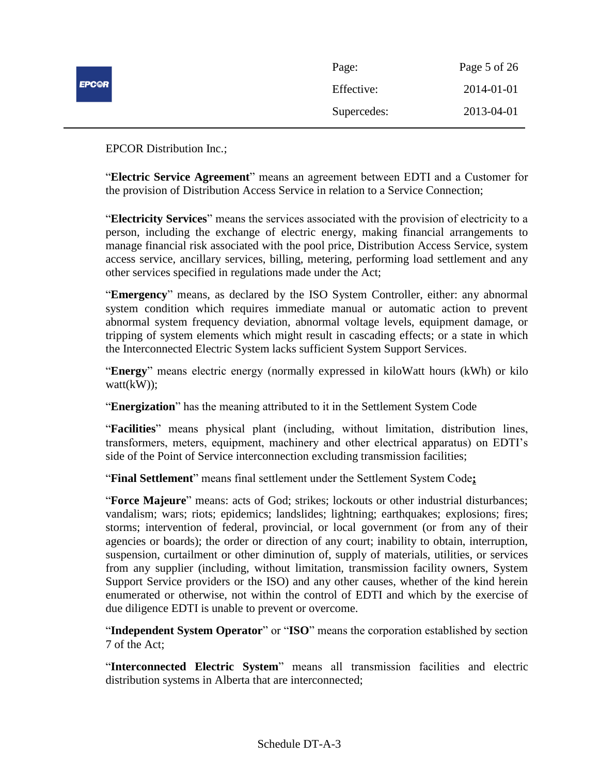|              | Page:       | Page 5 of 26 |
|--------------|-------------|--------------|
| <b>EPCOR</b> | Effective:  | 2014-01-01   |
|              | Supercedes: | 2013-04-01   |

EPCOR Distribution Inc.;

"**Electric Service Agreement**" means an agreement between EDTI and a Customer for the provision of Distribution Access Service in relation to a Service Connection;

"**Electricity Services**" means the services associated with the provision of electricity to a person, including the exchange of electric energy, making financial arrangements to manage financial risk associated with the pool price, Distribution Access Service, system access service, ancillary services, billing, metering, performing load settlement and any other services specified in regulations made under the Act;

"**Emergency**" means, as declared by the ISO System Controller, either: any abnormal system condition which requires immediate manual or automatic action to prevent abnormal system frequency deviation, abnormal voltage levels, equipment damage, or tripping of system elements which might result in cascading effects; or a state in which the Interconnected Electric System lacks sufficient System Support Services.

"**Energy**" means electric energy (normally expressed in kiloWatt hours (kWh) or kilo watt(kW));

"**Energization**" has the meaning attributed to it in the Settlement System Code

"**Facilities**" means physical plant (including, without limitation, distribution lines, transformers, meters, equipment, machinery and other electrical apparatus) on EDTI's side of the Point of Service interconnection excluding transmission facilities;

"**Final Settlement**" means final settlement under the Settlement System Code**;**

"**Force Majeure**" means: acts of God; strikes; lockouts or other industrial disturbances; vandalism; wars; riots; epidemics; landslides; lightning; earthquakes; explosions; fires; storms; intervention of federal, provincial, or local government (or from any of their agencies or boards); the order or direction of any court; inability to obtain, interruption, suspension, curtailment or other diminution of, supply of materials, utilities, or services from any supplier (including, without limitation, transmission facility owners, System Support Service providers or the ISO) and any other causes, whether of the kind herein enumerated or otherwise, not within the control of EDTI and which by the exercise of due diligence EDTI is unable to prevent or overcome.

"**Independent System Operator**" or "**ISO**" means the corporation established by section 7 of the Act;

"**Interconnected Electric System**" means all transmission facilities and electric distribution systems in Alberta that are interconnected;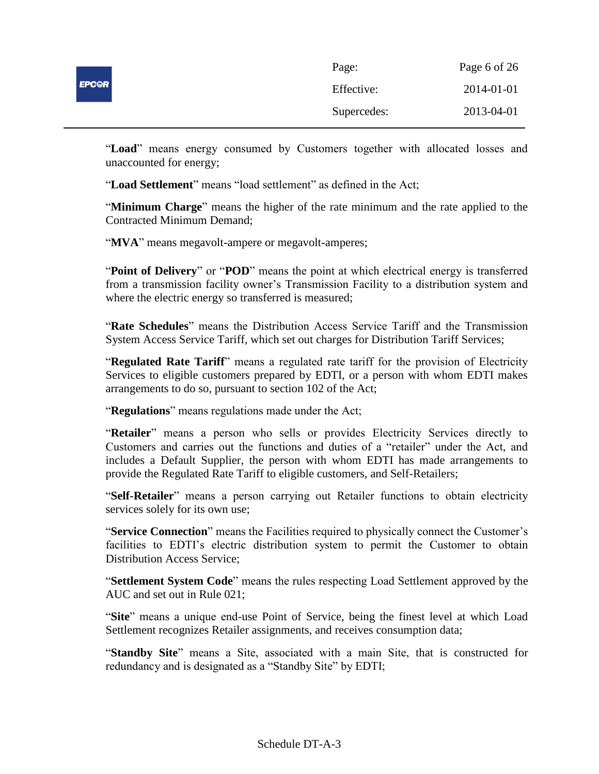|              | Page:       | Page 6 of 26 |
|--------------|-------------|--------------|
| <b>EPC@R</b> | Effective:  | 2014-01-01   |
|              | Supercedes: | 2013-04-01   |

"**Load**" means energy consumed by Customers together with allocated losses and unaccounted for energy;

"**Load Settlement**" means "load settlement" as defined in the Act;

"**Minimum Charge**" means the higher of the rate minimum and the rate applied to the Contracted Minimum Demand;

"**MVA**" means megavolt-ampere or megavolt-amperes;

"**Point of Delivery**" or "**POD**" means the point at which electrical energy is transferred from a transmission facility owner's Transmission Facility to a distribution system and where the electric energy so transferred is measured;

"**Rate Schedules**" means the Distribution Access Service Tariff and the Transmission System Access Service Tariff, which set out charges for Distribution Tariff Services;

"**Regulated Rate Tariff**" means a regulated rate tariff for the provision of Electricity Services to eligible customers prepared by EDTI, or a person with whom EDTI makes arrangements to do so, pursuant to section 102 of the Act;

"**Regulations**" means regulations made under the Act;

"**Retailer**" means a person who sells or provides Electricity Services directly to Customers and carries out the functions and duties of a "retailer" under the Act, and includes a Default Supplier, the person with whom EDTI has made arrangements to provide the Regulated Rate Tariff to eligible customers, and Self-Retailers;

"**Self-Retailer**" means a person carrying out Retailer functions to obtain electricity services solely for its own use;

"**Service Connection**" means the Facilities required to physically connect the Customer's facilities to EDTI's electric distribution system to permit the Customer to obtain Distribution Access Service;

"**Settlement System Code**" means the rules respecting Load Settlement approved by the AUC and set out in Rule 021;

"**Site**" means a unique end-use Point of Service, being the finest level at which Load Settlement recognizes Retailer assignments, and receives consumption data;

"**Standby Site**" means a Site, associated with a main Site, that is constructed for redundancy and is designated as a "Standby Site" by EDTI;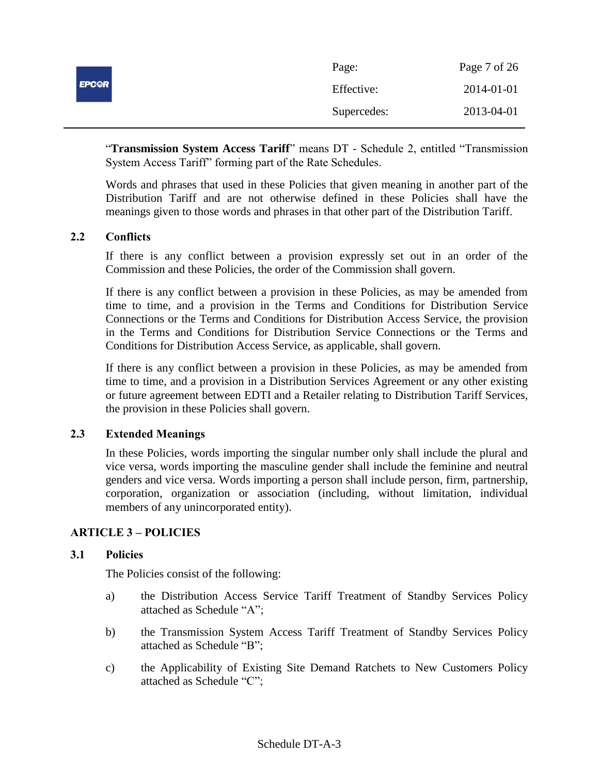|              | Page:       | Page 7 of 26 |
|--------------|-------------|--------------|
| <b>EPCOR</b> | Effective:  | 2014-01-01   |
|              | Supercedes: | 2013-04-01   |

"**Transmission System Access Tariff**" means DT - Schedule 2, entitled "Transmission System Access Tariff" forming part of the Rate Schedules.

Words and phrases that used in these Policies that given meaning in another part of the Distribution Tariff and are not otherwise defined in these Policies shall have the meanings given to those words and phrases in that other part of the Distribution Tariff.

# <span id="page-6-0"></span>**2.2 Conflicts**

If there is any conflict between a provision expressly set out in an order of the Commission and these Policies, the order of the Commission shall govern.

If there is any conflict between a provision in these Policies, as may be amended from time to time, and a provision in the Terms and Conditions for Distribution Service Connections or the Terms and Conditions for Distribution Access Service, the provision in the Terms and Conditions for Distribution Service Connections or the Terms and Conditions for Distribution Access Service, as applicable, shall govern.

If there is any conflict between a provision in these Policies, as may be amended from time to time, and a provision in a Distribution Services Agreement or any other existing or future agreement between EDTI and a Retailer relating to Distribution Tariff Services, the provision in these Policies shall govern.

## <span id="page-6-1"></span>**2.3 Extended Meanings**

In these Policies, words importing the singular number only shall include the plural and vice versa, words importing the masculine gender shall include the feminine and neutral genders and vice versa. Words importing a person shall include person, firm, partnership, corporation, organization or association (including, without limitation, individual members of any unincorporated entity).

### <span id="page-6-2"></span>**ARTICLE 3 – POLICIES**

### <span id="page-6-3"></span>**3.1 Policies**

The Policies consist of the following:

- a) the Distribution Access Service Tariff Treatment of Standby Services Policy attached as Schedule "A";
- b) the Transmission System Access Tariff Treatment of Standby Services Policy attached as Schedule "B";
- c) the Applicability of Existing Site Demand Ratchets to New Customers Policy attached as Schedule "C";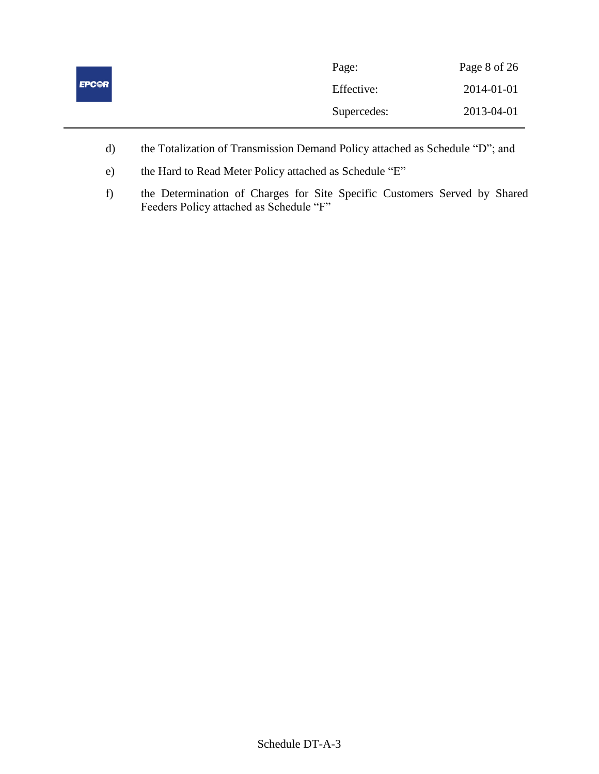|              | Page:       | Page 8 of 26 |
|--------------|-------------|--------------|
| <b>EPC@R</b> | Effective:  | 2014-01-01   |
|              | Supercedes: | 2013-04-01   |

- d) the Totalization of Transmission Demand Policy attached as Schedule "D"; and
- e) the Hard to Read Meter Policy attached as Schedule "E"
- f) the Determination of Charges for Site Specific Customers Served by Shared Feeders Policy attached as Schedule "F"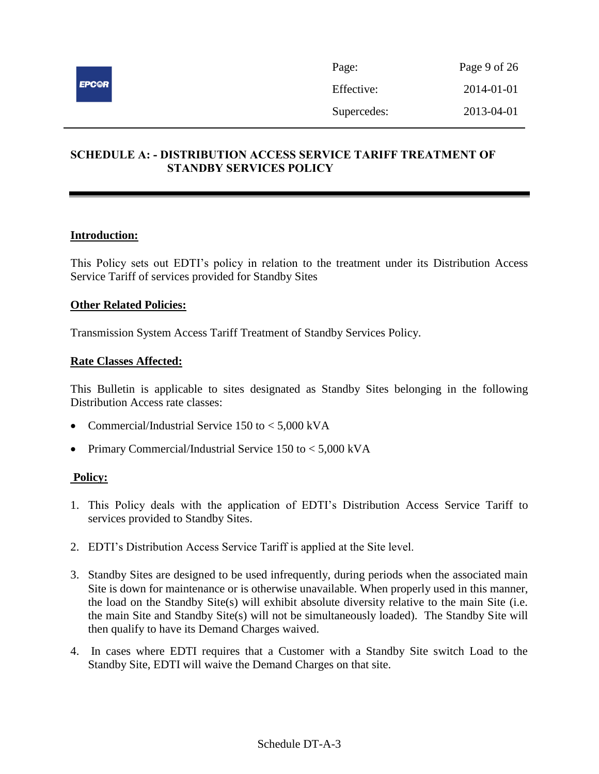

# <span id="page-8-0"></span>**SCHEDULE A: - DISTRIBUTION ACCESS SERVICE TARIFF TREATMENT OF STANDBY SERVICES POLICY**

### **Introduction:**

This Policy sets out EDTI's policy in relation to the treatment under its Distribution Access Service Tariff of services provided for Standby Sites

### **Other Related Policies:**

Transmission System Access Tariff Treatment of Standby Services Policy.

### **Rate Classes Affected:**

This Bulletin is applicable to sites designated as Standby Sites belonging in the following Distribution Access rate classes:

- Commercial/Industrial Service 150 to < 5,000 kVA
- Primary Commercial/Industrial Service 150 to < 5,000 kVA

- 1. This Policy deals with the application of EDTI's Distribution Access Service Tariff to services provided to Standby Sites.
- 2. EDTI's Distribution Access Service Tariff is applied at the Site level.
- 3. Standby Sites are designed to be used infrequently, during periods when the associated main Site is down for maintenance or is otherwise unavailable. When properly used in this manner, the load on the Standby Site(s) will exhibit absolute diversity relative to the main Site (i.e. the main Site and Standby Site(s) will not be simultaneously loaded). The Standby Site will then qualify to have its Demand Charges waived.
- 4. In cases where EDTI requires that a Customer with a Standby Site switch Load to the Standby Site, EDTI will waive the Demand Charges on that site.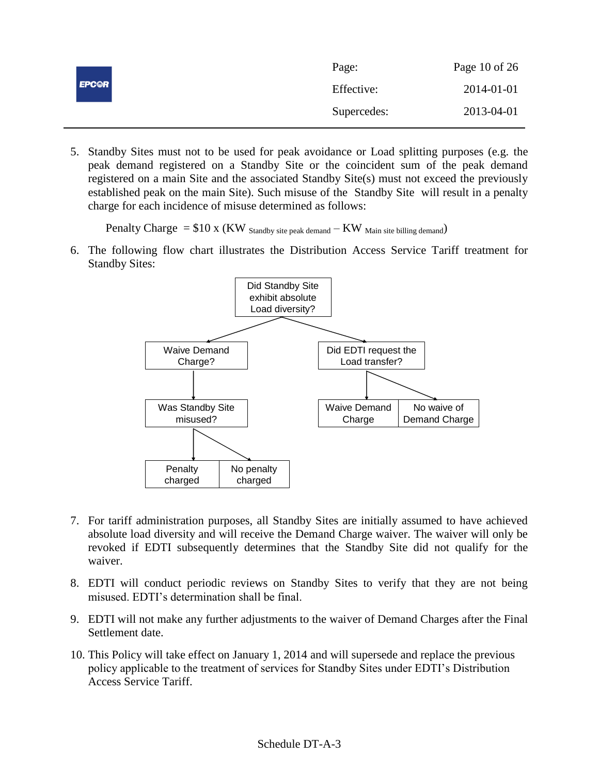|              | Page:       | Page 10 of 26 |
|--------------|-------------|---------------|
| <b>EPC@R</b> | Effective:  | 2014-01-01    |
|              | Supercedes: | 2013-04-01    |

5. Standby Sites must not to be used for peak avoidance or Load splitting purposes (e.g. the peak demand registered on a Standby Site or the coincident sum of the peak demand registered on a main Site and the associated Standby Site(s) must not exceed the previously established peak on the main Site). Such misuse of the Standby Site will result in a penalty charge for each incidence of misuse determined as follows:

Penalty Charge  $= $10 \times (KW)$  Standby site peak demand  $-KW$  Main site billing demand)

6. The following flow chart illustrates the Distribution Access Service Tariff treatment for Standby Sites:



- 7. For tariff administration purposes, all Standby Sites are initially assumed to have achieved absolute load diversity and will receive the Demand Charge waiver. The waiver will only be revoked if EDTI subsequently determines that the Standby Site did not qualify for the waiver.
- 8. EDTI will conduct periodic reviews on Standby Sites to verify that they are not being misused. EDTI's determination shall be final.
- 9. EDTI will not make any further adjustments to the waiver of Demand Charges after the Final Settlement date.
- 10. This Policy will take effect on January 1, 2014 and will supersede and replace the previous policy applicable to the treatment of services for Standby Sites under EDTI's Distribution Access Service Tariff.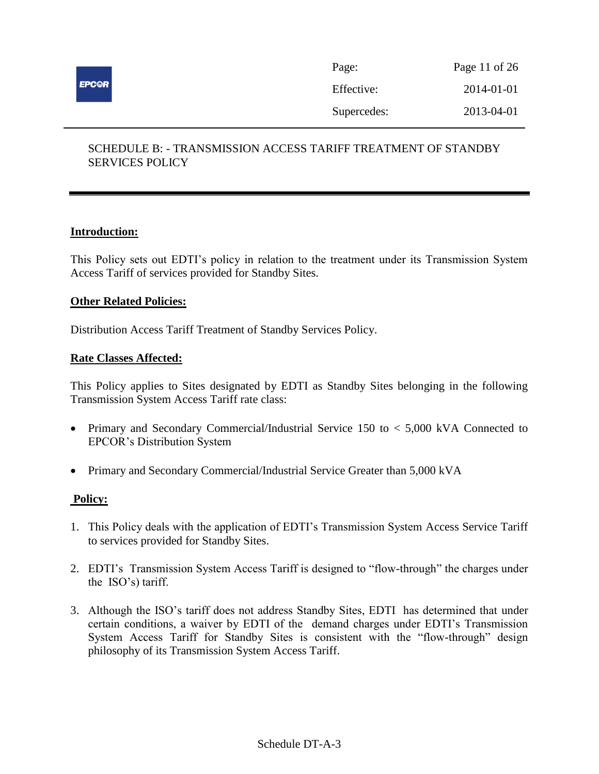

| Page:       | Page 11 of 26 |
|-------------|---------------|
| Effective:  | 2014-01-01    |
| Supercedes: | 2013-04-01    |

# <span id="page-10-0"></span>SCHEDULE B: - TRANSMISSION ACCESS TARIFF TREATMENT OF STANDBY SERVICES POLICY

### **Introduction:**

This Policy sets out EDTI's policy in relation to the treatment under its Transmission System Access Tariff of services provided for Standby Sites.

### **Other Related Policies:**

Distribution Access Tariff Treatment of Standby Services Policy.

### **Rate Classes Affected:**

This Policy applies to Sites designated by EDTI as Standby Sites belonging in the following Transmission System Access Tariff rate class:

- Primary and Secondary Commercial/Industrial Service 150 to < 5,000 kVA Connected to EPCOR's Distribution System
- Primary and Secondary Commercial/Industrial Service Greater than 5,000 kVA

- 1. This Policy deals with the application of EDTI's Transmission System Access Service Tariff to services provided for Standby Sites.
- 2. EDTI's Transmission System Access Tariff is designed to "flow-through" the charges under the ISO's) tariff.
- 3. Although the ISO's tariff does not address Standby Sites, EDTI has determined that under certain conditions, a waiver by EDTI of the demand charges under EDTI's Transmission System Access Tariff for Standby Sites is consistent with the "flow-through" design philosophy of its Transmission System Access Tariff.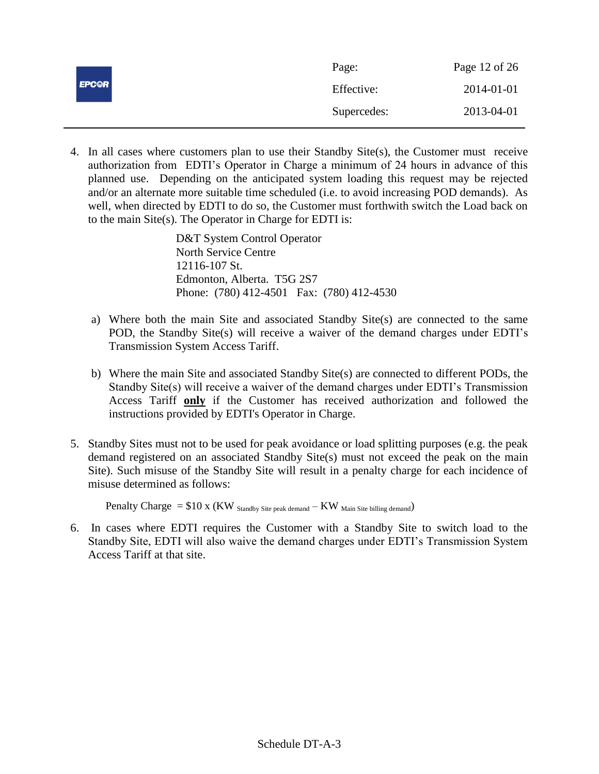|              | Page:       | Page 12 of 26 |
|--------------|-------------|---------------|
| <b>EPC@R</b> | Effective:  | 2014-01-01    |
|              | Supercedes: | 2013-04-01    |

4. In all cases where customers plan to use their Standby Site(s), the Customer must receive authorization from EDTI's Operator in Charge a minimum of 24 hours in advance of this planned use. Depending on the anticipated system loading this request may be rejected and/or an alternate more suitable time scheduled (i.e. to avoid increasing POD demands). As well, when directed by EDTI to do so, the Customer must forthwith switch the Load back on to the main Site(s). The Operator in Charge for EDTI is:

> D&T System Control Operator North Service Centre 12116-107 St. Edmonton, Alberta. T5G 2S7 Phone: (780) 412-4501 Fax: (780) 412-4530

- a) Where both the main Site and associated Standby Site(s) are connected to the same POD, the Standby Site(s) will receive a waiver of the demand charges under EDTI's Transmission System Access Tariff.
- b) Where the main Site and associated Standby Site(s) are connected to different PODs, the Standby Site(s) will receive a waiver of the demand charges under EDTI's Transmission Access Tariff **only** if the Customer has received authorization and followed the instructions provided by EDTI's Operator in Charge.
- 5. Standby Sites must not to be used for peak avoidance or load splitting purposes (e.g. the peak demand registered on an associated Standby Site(s) must not exceed the peak on the main Site). Such misuse of the Standby Site will result in a penalty charge for each incidence of misuse determined as follows:

Penalty Charge  $= $10 \times (KW)_{\text{Standard}}$  stite peak demand  $-KW$  Main Site billing demand)

6. In cases where EDTI requires the Customer with a Standby Site to switch load to the Standby Site, EDTI will also waive the demand charges under EDTI's Transmission System Access Tariff at that site.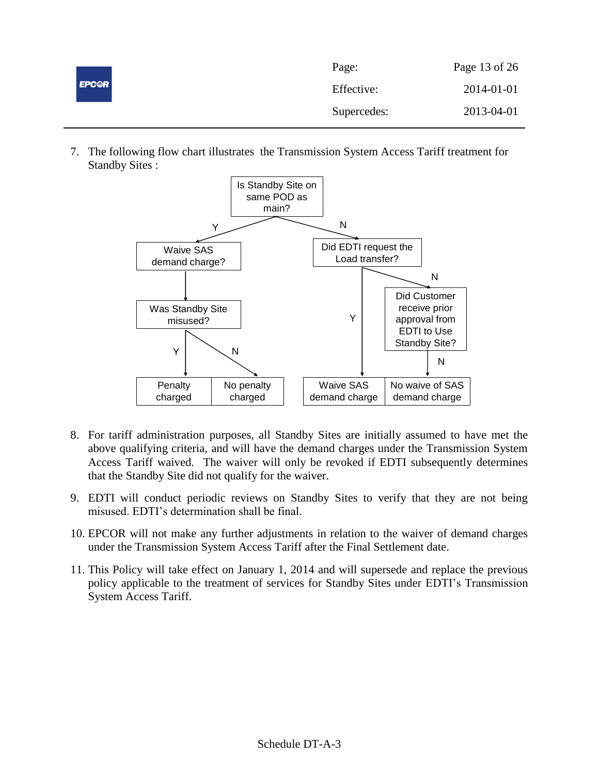| <b>EPC@R</b> | Page:       | Page 13 of 26 |
|--------------|-------------|---------------|
|              | Effective:  | 2014-01-01    |
|              | Supercedes: | 2013-04-01    |

7. The following flow chart illustrates the Transmission System Access Tariff treatment for Standby Sites :



- 8. For tariff administration purposes, all Standby Sites are initially assumed to have met the above qualifying criteria, and will have the demand charges under the Transmission System Access Tariff waived. The waiver will only be revoked if EDTI subsequently determines that the Standby Site did not qualify for the waiver.
- 9. EDTI will conduct periodic reviews on Standby Sites to verify that they are not being misused. EDTI's determination shall be final.
- 10. EPCOR will not make any further adjustments in relation to the waiver of demand charges under the Transmission System Access Tariff after the Final Settlement date.
- 11. This Policy will take effect on January 1, 2014 and will supersede and replace the previous policy applicable to the treatment of services for Standby Sites under EDTI's Transmission System Access Tariff.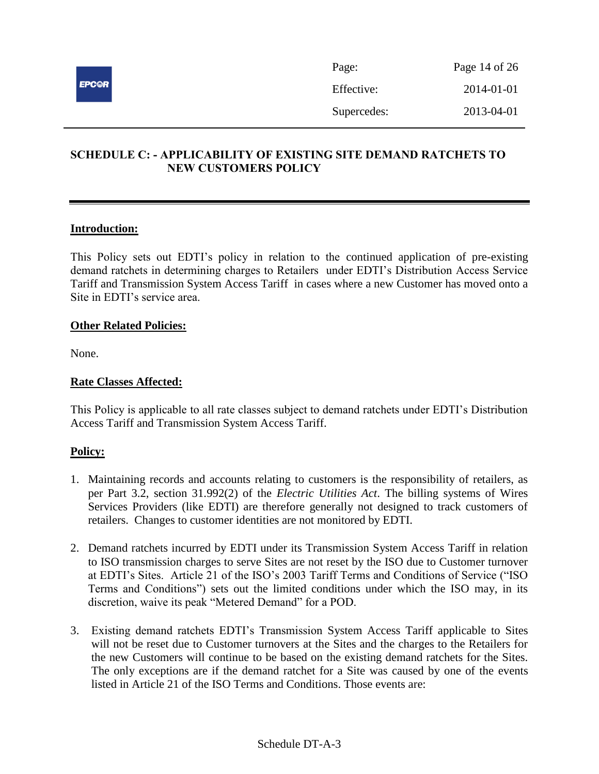

# <span id="page-13-0"></span>**SCHEDULE C: - APPLICABILITY OF EXISTING SITE DEMAND RATCHETS TO NEW CUSTOMERS POLICY**

### **Introduction:**

This Policy sets out EDTI's policy in relation to the continued application of pre-existing demand ratchets in determining charges to Retailers under EDTI's Distribution Access Service Tariff and Transmission System Access Tariff in cases where a new Customer has moved onto a Site in EDTI's service area.

#### **Other Related Policies:**

None.

### **Rate Classes Affected:**

This Policy is applicable to all rate classes subject to demand ratchets under EDTI's Distribution Access Tariff and Transmission System Access Tariff.

- 1. Maintaining records and accounts relating to customers is the responsibility of retailers, as per Part 3.2, section 31.992(2) of the *Electric Utilities Act*. The billing systems of Wires Services Providers (like EDTI) are therefore generally not designed to track customers of retailers. Changes to customer identities are not monitored by EDTI.
- 2. Demand ratchets incurred by EDTI under its Transmission System Access Tariff in relation to ISO transmission charges to serve Sites are not reset by the ISO due to Customer turnover at EDTI's Sites. Article 21 of the ISO's 2003 Tariff Terms and Conditions of Service ("ISO Terms and Conditions") sets out the limited conditions under which the ISO may, in its discretion, waive its peak "Metered Demand" for a POD.
- 3. Existing demand ratchets EDTI's Transmission System Access Tariff applicable to Sites will not be reset due to Customer turnovers at the Sites and the charges to the Retailers for the new Customers will continue to be based on the existing demand ratchets for the Sites. The only exceptions are if the demand ratchet for a Site was caused by one of the events listed in Article 21 of the ISO Terms and Conditions. Those events are: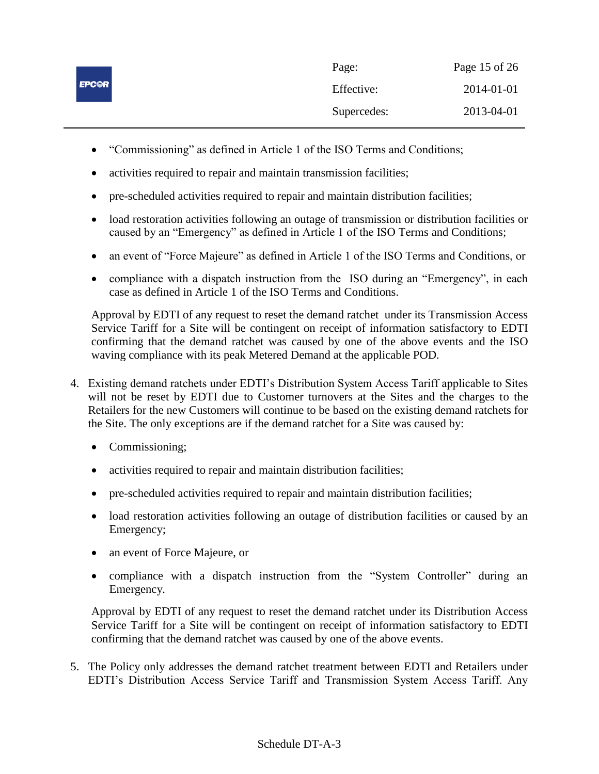|              | Page:       | Page 15 of 26 |
|--------------|-------------|---------------|
| <b>EPCOR</b> | Effective:  | 2014-01-01    |
|              | Supercedes: | 2013-04-01    |

- "Commissioning" as defined in Article 1 of the ISO Terms and Conditions;
- activities required to repair and maintain transmission facilities;
- pre-scheduled activities required to repair and maintain distribution facilities;
- load restoration activities following an outage of transmission or distribution facilities or caused by an "Emergency" as defined in Article 1 of the ISO Terms and Conditions;
- an event of "Force Majeure" as defined in Article 1 of the ISO Terms and Conditions, or
- compliance with a dispatch instruction from the ISO during an "Emergency", in each case as defined in Article 1 of the ISO Terms and Conditions.

Approval by EDTI of any request to reset the demand ratchet under its Transmission Access Service Tariff for a Site will be contingent on receipt of information satisfactory to EDTI confirming that the demand ratchet was caused by one of the above events and the ISO waving compliance with its peak Metered Demand at the applicable POD*.*

- 4. Existing demand ratchets under EDTI's Distribution System Access Tariff applicable to Sites will not be reset by EDTI due to Customer turnovers at the Sites and the charges to the Retailers for the new Customers will continue to be based on the existing demand ratchets for the Site. The only exceptions are if the demand ratchet for a Site was caused by:
	- Commissioning;
	- activities required to repair and maintain distribution facilities;
	- pre-scheduled activities required to repair and maintain distribution facilities;
	- load restoration activities following an outage of distribution facilities or caused by an Emergency;
	- an event of Force Majeure, or
	- compliance with a dispatch instruction from the "System Controller" during an Emergency*.*

Approval by EDTI of any request to reset the demand ratchet under its Distribution Access Service Tariff for a Site will be contingent on receipt of information satisfactory to EDTI confirming that the demand ratchet was caused by one of the above events.

5. The Policy only addresses the demand ratchet treatment between EDTI and Retailers under EDTI's Distribution Access Service Tariff and Transmission System Access Tariff. Any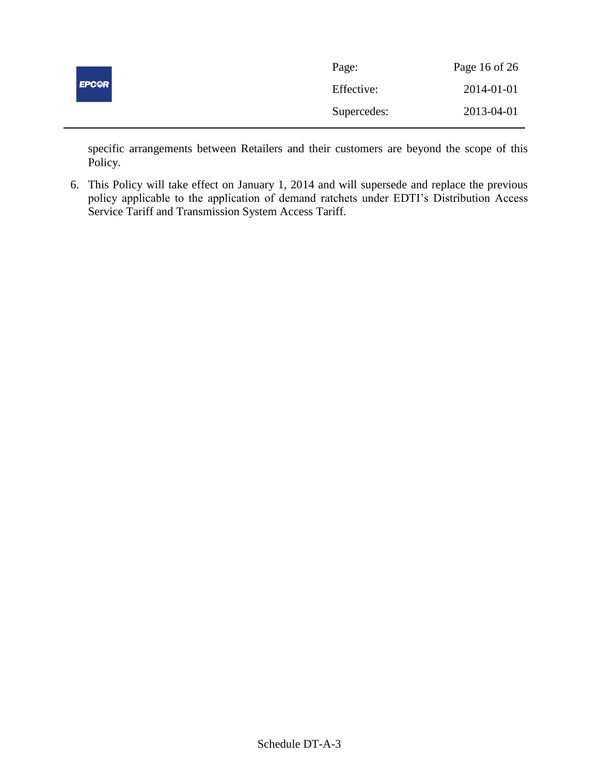| <b>EPC@R</b> | Page:       | Page 16 of 26 |
|--------------|-------------|---------------|
|              | Effective:  | 2014-01-01    |
|              | Supercedes: | 2013-04-01    |

specific arrangements between Retailers and their customers are beyond the scope of this Policy.

6. This Policy will take effect on January 1, 2014 and will supersede and replace the previous policy applicable to the application of demand ratchets under EDTI's Distribution Access Service Tariff and Transmission System Access Tariff.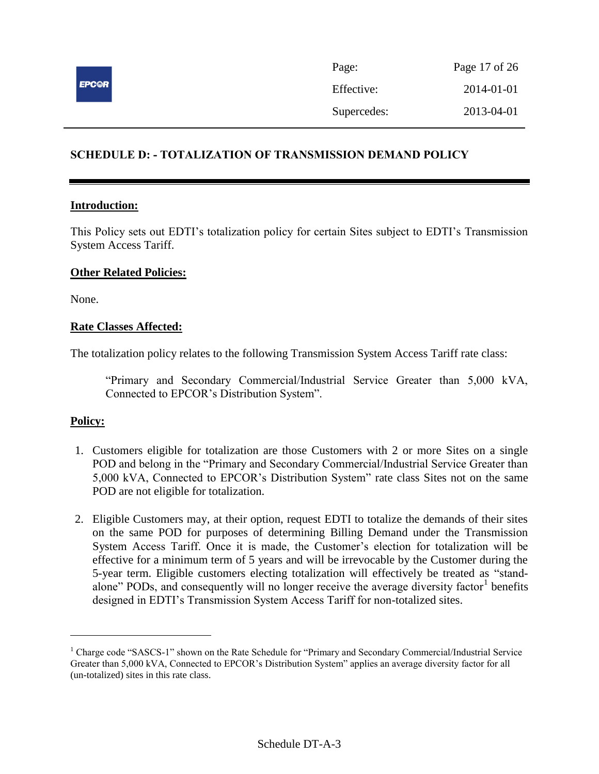

| Page:       | Page 17 of 26 |
|-------------|---------------|
| Effective:  | 2014-01-01    |
| Supercedes: | 2013-04-01    |

# <span id="page-16-0"></span>**SCHEDULE D: - TOTALIZATION OF TRANSMISSION DEMAND POLICY**

### **Introduction:**

This Policy sets out EDTI's totalization policy for certain Sites subject to EDTI's Transmission System Access Tariff.

### **Other Related Policies:**

None.

### **Rate Classes Affected:**

The totalization policy relates to the following Transmission System Access Tariff rate class:

"Primary and Secondary Commercial/Industrial Service Greater than 5,000 kVA, Connected to EPCOR's Distribution System".

# **Policy:**

 $\overline{a}$ 

- 1. Customers eligible for totalization are those Customers with 2 or more Sites on a single POD and belong in the "Primary and Secondary Commercial/Industrial Service Greater than 5,000 kVA, Connected to EPCOR's Distribution System" rate class Sites not on the same POD are not eligible for totalization.
- 2. Eligible Customers may, at their option, request EDTI to totalize the demands of their sites on the same POD for purposes of determining Billing Demand under the Transmission System Access Tariff. Once it is made, the Customer's election for totalization will be effective for a minimum term of 5 years and will be irrevocable by the Customer during the 5-year term. Eligible customers electing totalization will effectively be treated as "standalone" PODs, and consequently will no longer receive the average diversity factor<sup>1</sup> benefits designed in EDTI's Transmission System Access Tariff for non-totalized sites.

<sup>&</sup>lt;sup>1</sup> Charge code "SASCS-1" shown on the Rate Schedule for "Primary and Secondary Commercial/Industrial Service Greater than 5,000 kVA, Connected to EPCOR's Distribution System" applies an average diversity factor for all (un-totalized) sites in this rate class.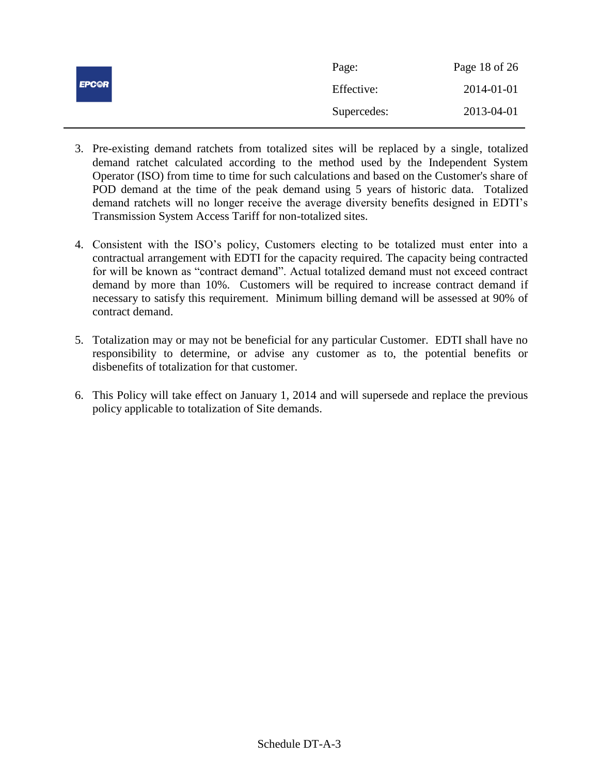| <b>EPCOR</b> | Page:       | Page 18 of 26 |
|--------------|-------------|---------------|
|              | Effective:  | 2014-01-01    |
|              | Supercedes: | 2013-04-01    |

- 3. Pre-existing demand ratchets from totalized sites will be replaced by a single, totalized demand ratchet calculated according to the method used by the Independent System Operator (ISO) from time to time for such calculations and based on the Customer's share of POD demand at the time of the peak demand using 5 years of historic data. Totalized demand ratchets will no longer receive the average diversity benefits designed in EDTI's Transmission System Access Tariff for non-totalized sites.
- 4. Consistent with the ISO's policy, Customers electing to be totalized must enter into a contractual arrangement with EDTI for the capacity required. The capacity being contracted for will be known as "contract demand". Actual totalized demand must not exceed contract demand by more than 10%. Customers will be required to increase contract demand if necessary to satisfy this requirement. Minimum billing demand will be assessed at 90% of contract demand.
- 5. Totalization may or may not be beneficial for any particular Customer. EDTI shall have no responsibility to determine, or advise any customer as to, the potential benefits or disbenefits of totalization for that customer.
- 6. This Policy will take effect on January 1, 2014 and will supersede and replace the previous policy applicable to totalization of Site demands.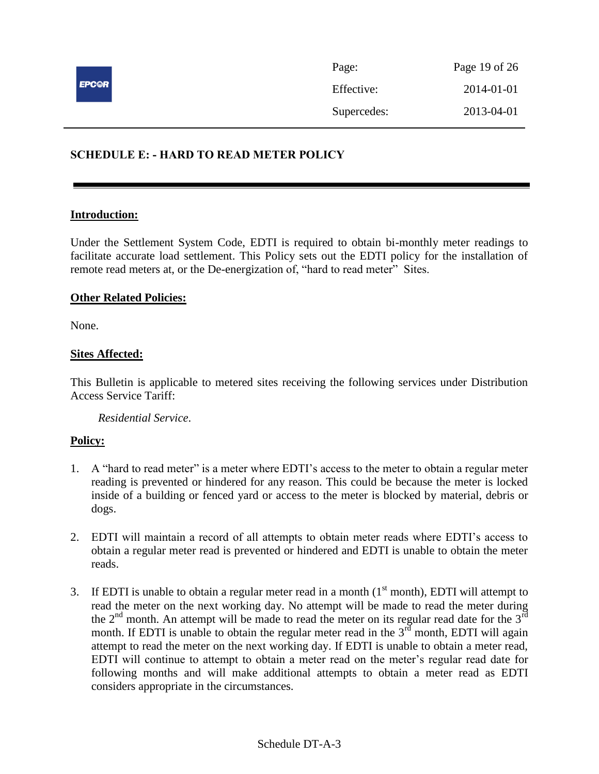

# <span id="page-18-0"></span>**SCHEDULE E: - HARD TO READ METER POLICY**

#### **Introduction:**

Under the Settlement System Code, EDTI is required to obtain bi-monthly meter readings to facilitate accurate load settlement. This Policy sets out the EDTI policy for the installation of remote read meters at, or the De-energization of, "hard to read meter" Sites.

### **Other Related Policies:**

None.

## **Sites Affected:**

This Bulletin is applicable to metered sites receiving the following services under Distribution Access Service Tariff:

*Residential Service*.

- 1. A "hard to read meter" is a meter where EDTI's access to the meter to obtain a regular meter reading is prevented or hindered for any reason. This could be because the meter is locked inside of a building or fenced yard or access to the meter is blocked by material, debris or dogs.
- 2. EDTI will maintain a record of all attempts to obtain meter reads where EDTI's access to obtain a regular meter read is prevented or hindered and EDTI is unable to obtain the meter reads.
- 3. If EDTI is unable to obtain a regular meter read in a month  $(1<sup>st</sup>$  month), EDTI will attempt to read the meter on the next working day. No attempt will be made to read the meter during the  $2<sup>nd</sup>$  month. An attempt will be made to read the meter on its regular read date for the  $3<sup>rd</sup>$ month. If EDTI is unable to obtain the regular meter read in the  $3<sup>rd</sup>$  month, EDTI will again attempt to read the meter on the next working day. If EDTI is unable to obtain a meter read, EDTI will continue to attempt to obtain a meter read on the meter's regular read date for following months and will make additional attempts to obtain a meter read as EDTI considers appropriate in the circumstances.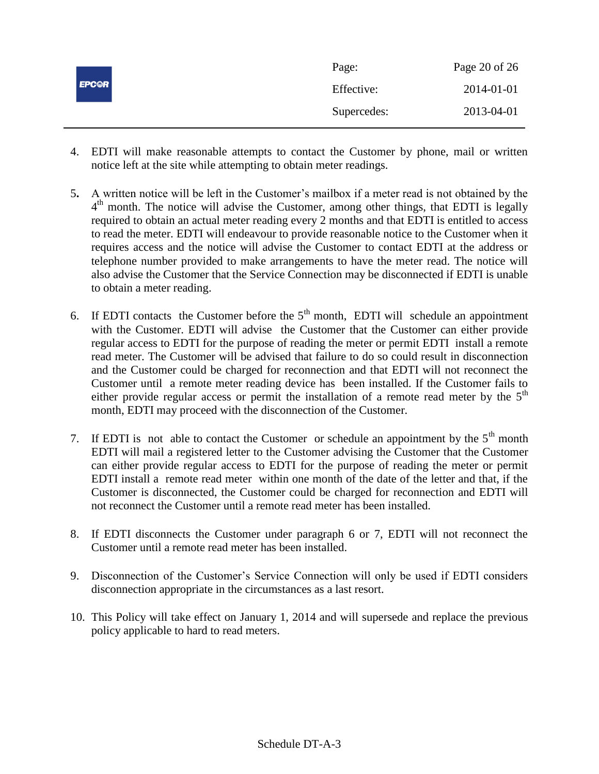|              | Page:       | Page 20 of 26 |
|--------------|-------------|---------------|
| <b>EPCOR</b> | Effective:  | 2014-01-01    |
|              | Supercedes: | 2013-04-01    |

- 4. EDTI will make reasonable attempts to contact the Customer by phone, mail or written notice left at the site while attempting to obtain meter readings.
- 5**.** A written notice will be left in the Customer's mailbox if a meter read is not obtained by the 4<sup>th</sup> month. The notice will advise the Customer, among other things, that EDTI is legally required to obtain an actual meter reading every 2 months and that EDTI is entitled to access to read the meter. EDTI will endeavour to provide reasonable notice to the Customer when it requires access and the notice will advise the Customer to contact EDTI at the address or telephone number provided to make arrangements to have the meter read. The notice will also advise the Customer that the Service Connection may be disconnected if EDTI is unable to obtain a meter reading.
- 6. If EDTI contacts the Customer before the  $5<sup>th</sup>$  month, EDTI will schedule an appointment with the Customer. EDTI will advise the Customer that the Customer can either provide regular access to EDTI for the purpose of reading the meter or permit EDTI install a remote read meter. The Customer will be advised that failure to do so could result in disconnection and the Customer could be charged for reconnection and that EDTI will not reconnect the Customer until a remote meter reading device has been installed. If the Customer fails to either provide regular access or permit the installation of a remote read meter by the  $5<sup>th</sup>$ month, EDTI may proceed with the disconnection of the Customer.
- 7. If EDTI is not able to contact the Customer or schedule an appointment by the  $5<sup>th</sup>$  month EDTI will mail a registered letter to the Customer advising the Customer that the Customer can either provide regular access to EDTI for the purpose of reading the meter or permit EDTI install a remote read meter within one month of the date of the letter and that, if the Customer is disconnected, the Customer could be charged for reconnection and EDTI will not reconnect the Customer until a remote read meter has been installed.
- 8. If EDTI disconnects the Customer under paragraph 6 or 7, EDTI will not reconnect the Customer until a remote read meter has been installed.
- 9. Disconnection of the Customer's Service Connection will only be used if EDTI considers disconnection appropriate in the circumstances as a last resort.
- 10. This Policy will take effect on January 1, 2014 and will supersede and replace the previous policy applicable to hard to read meters.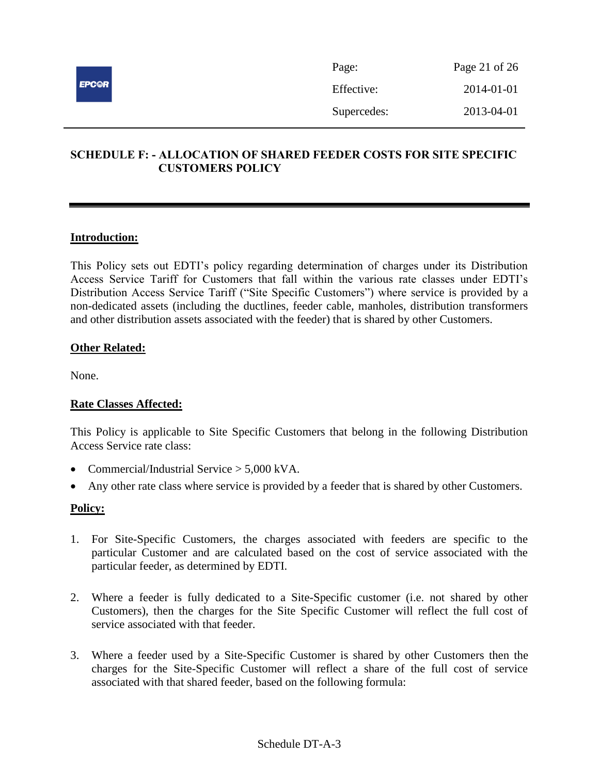

| Page:       | Page 21 of 26 |
|-------------|---------------|
| Effective:  | 2014-01-01    |
| Supercedes: | 2013-04-01    |

# <span id="page-20-0"></span>**SCHEDULE F: - ALLOCATION OF SHARED FEEDER COSTS FOR SITE SPECIFIC CUSTOMERS POLICY**

# **Introduction:**

This Policy sets out EDTI's policy regarding determination of charges under its Distribution Access Service Tariff for Customers that fall within the various rate classes under EDTI's Distribution Access Service Tariff ("Site Specific Customers") where service is provided by a non-dedicated assets (including the ductlines, feeder cable, manholes, distribution transformers and other distribution assets associated with the feeder) that is shared by other Customers.

### **Other Related:**

None.

### **Rate Classes Affected:**

This Policy is applicable to Site Specific Customers that belong in the following Distribution Access Service rate class:

- Commercial/Industrial Service  $> 5.000$  kVA.
- Any other rate class where service is provided by a feeder that is shared by other Customers.

- 1. For Site-Specific Customers, the charges associated with feeders are specific to the particular Customer and are calculated based on the cost of service associated with the particular feeder, as determined by EDTI.
- 2. Where a feeder is fully dedicated to a Site-Specific customer (i.e. not shared by other Customers), then the charges for the Site Specific Customer will reflect the full cost of service associated with that feeder.
- 3. Where a feeder used by a Site-Specific Customer is shared by other Customers then the charges for the Site-Specific Customer will reflect a share of the full cost of service associated with that shared feeder, based on the following formula: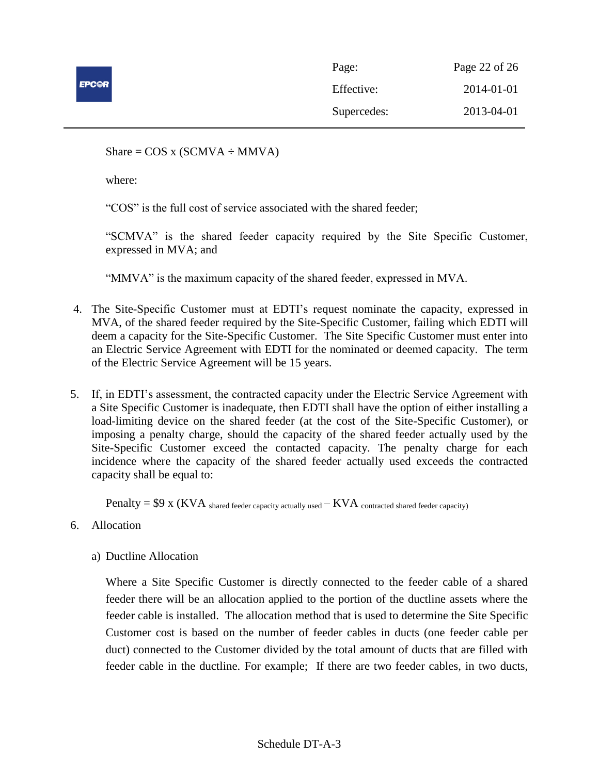

| Page:       | Page 22 of 26 |
|-------------|---------------|
| Effective:  | 2014-01-01    |
| Supercedes: | 2013-04-01    |

Share =  $COS x (SCMVA \div MMVA)$ 

where:

"COS" is the full cost of service associated with the shared feeder;

"SCMVA" is the shared feeder capacity required by the Site Specific Customer, expressed in MVA; and

"MMVA" is the maximum capacity of the shared feeder, expressed in MVA.

- 4. The Site-Specific Customer must at EDTI's request nominate the capacity, expressed in MVA, of the shared feeder required by the Site-Specific Customer, failing which EDTI will deem a capacity for the Site-Specific Customer. The Site Specific Customer must enter into an Electric Service Agreement with EDTI for the nominated or deemed capacity. The term of the Electric Service Agreement will be 15 years.
- 5. If, in EDTI's assessment, the contracted capacity under the Electric Service Agreement with a Site Specific Customer is inadequate, then EDTI shall have the option of either installing a load-limiting device on the shared feeder (at the cost of the Site-Specific Customer), or imposing a penalty charge, should the capacity of the shared feeder actually used by the Site-Specific Customer exceed the contacted capacity. The penalty charge for each incidence where the capacity of the shared feeder actually used exceeds the contracted capacity shall be equal to:

 $Penalty = $9 \times (KVA)$  shared feeder capacity actually used  $-KVA$  contracted shared feeder capacity)

- 6. Allocation
	- a) Ductline Allocation

Where a Site Specific Customer is directly connected to the feeder cable of a shared feeder there will be an allocation applied to the portion of the ductline assets where the feeder cable is installed. The allocation method that is used to determine the Site Specific Customer cost is based on the number of feeder cables in ducts (one feeder cable per duct) connected to the Customer divided by the total amount of ducts that are filled with feeder cable in the ductline. For example; If there are two feeder cables, in two ducts,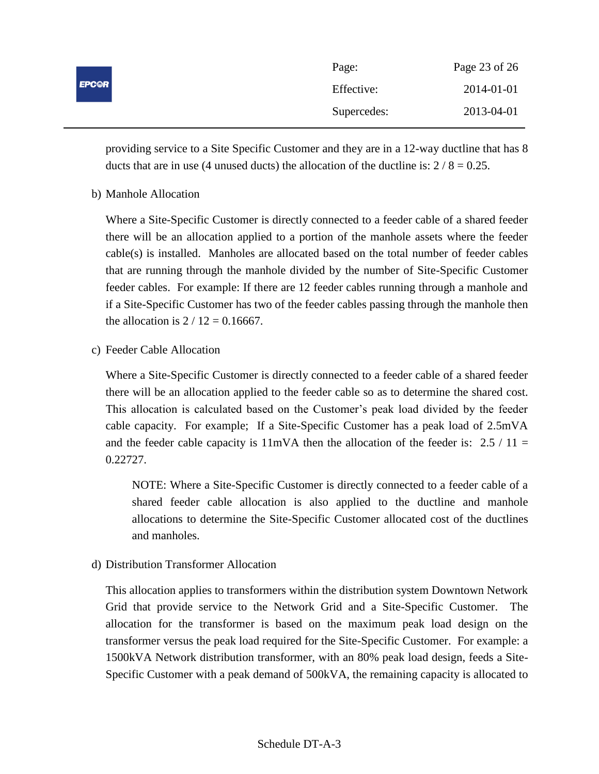| <b>EPC@R</b> | Page:       | Page 23 of 26 |
|--------------|-------------|---------------|
|              | Effective:  | 2014-01-01    |
|              | Supercedes: | 2013-04-01    |

providing service to a Site Specific Customer and they are in a 12-way ductline that has 8 ducts that are in use (4 unused ducts) the allocation of the ductline is:  $2/8 = 0.25$ .

b) Manhole Allocation

Where a Site-Specific Customer is directly connected to a feeder cable of a shared feeder there will be an allocation applied to a portion of the manhole assets where the feeder cable(s) is installed. Manholes are allocated based on the total number of feeder cables that are running through the manhole divided by the number of Site-Specific Customer feeder cables. For example: If there are 12 feeder cables running through a manhole and if a Site-Specific Customer has two of the feeder cables passing through the manhole then the allocation is  $2 / 12 = 0.16667$ .

c) Feeder Cable Allocation

Where a Site-Specific Customer is directly connected to a feeder cable of a shared feeder there will be an allocation applied to the feeder cable so as to determine the shared cost. This allocation is calculated based on the Customer's peak load divided by the feeder cable capacity. For example; If a Site-Specific Customer has a peak load of 2.5mVA and the feeder cable capacity is  $11mVA$  then the allocation of the feeder is: 2.5 / 11 = 0.22727.

NOTE: Where a Site-Specific Customer is directly connected to a feeder cable of a shared feeder cable allocation is also applied to the ductline and manhole allocations to determine the Site-Specific Customer allocated cost of the ductlines and manholes.

d) Distribution Transformer Allocation

This allocation applies to transformers within the distribution system Downtown Network Grid that provide service to the Network Grid and a Site-Specific Customer. The allocation for the transformer is based on the maximum peak load design on the transformer versus the peak load required for the Site-Specific Customer. For example: a 1500kVA Network distribution transformer, with an 80% peak load design, feeds a Site-Specific Customer with a peak demand of 500kVA, the remaining capacity is allocated to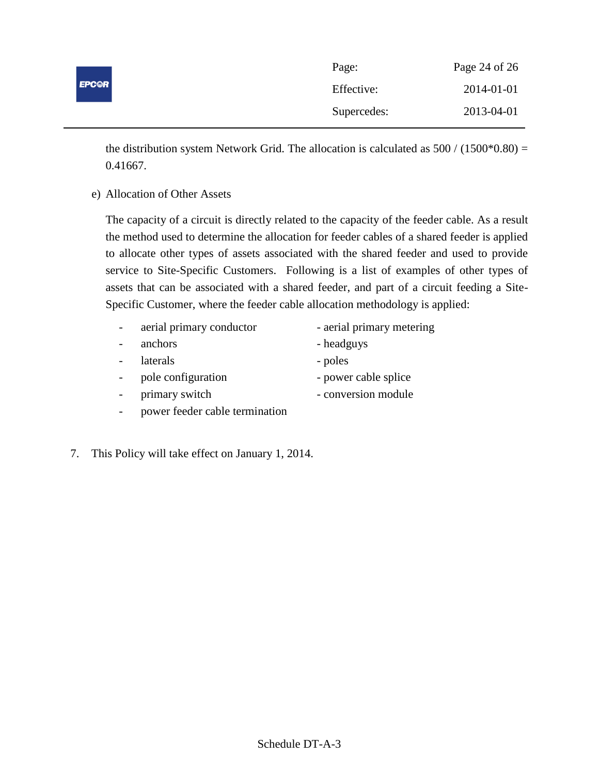|              | Page:       | Page 24 of 26 |
|--------------|-------------|---------------|
| <b>EPC@R</b> | Effective:  | 2014-01-01    |
|              | Supercedes: | 2013-04-01    |

the distribution system Network Grid. The allocation is calculated as  $500 / (1500*0.80) =$ 0.41667.

e) Allocation of Other Assets

The capacity of a circuit is directly related to the capacity of the feeder cable. As a result the method used to determine the allocation for feeder cables of a shared feeder is applied to allocate other types of assets associated with the shared feeder and used to provide service to Site-Specific Customers. Following is a list of examples of other types of assets that can be associated with a shared feeder, and part of a circuit feeding a Site-Specific Customer, where the feeder cable allocation methodology is applied:

- aerial primary conductor aerial primary metering
- anchors headguys
	- laterals poles
	- pole configuration power cable splice
	- primary switch conversion module
- 
- power feeder cable termination
- 7. This Policy will take effect on January 1, 2014.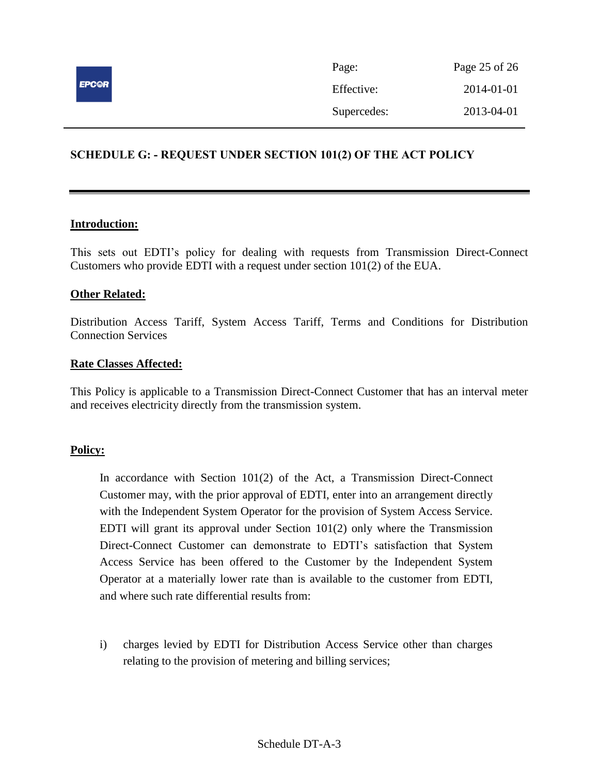

# <span id="page-24-0"></span>**SCHEDULE G: - REQUEST UNDER SECTION 101(2) OF THE ACT POLICY**

### **Introduction:**

This sets out EDTI's policy for dealing with requests from Transmission Direct-Connect Customers who provide EDTI with a request under section 101(2) of the EUA.

### **Other Related:**

Distribution Access Tariff, System Access Tariff, Terms and Conditions for Distribution Connection Services

### **Rate Classes Affected:**

This Policy is applicable to a Transmission Direct-Connect Customer that has an interval meter and receives electricity directly from the transmission system.

#### **Policy:**

In accordance with Section 101(2) of the Act, a Transmission Direct-Connect Customer may, with the prior approval of EDTI, enter into an arrangement directly with the Independent System Operator for the provision of System Access Service. EDTI will grant its approval under Section  $101(2)$  only where the Transmission Direct-Connect Customer can demonstrate to EDTI's satisfaction that System Access Service has been offered to the Customer by the Independent System Operator at a materially lower rate than is available to the customer from EDTI, and where such rate differential results from:

i) charges levied by EDTI for Distribution Access Service other than charges relating to the provision of metering and billing services;